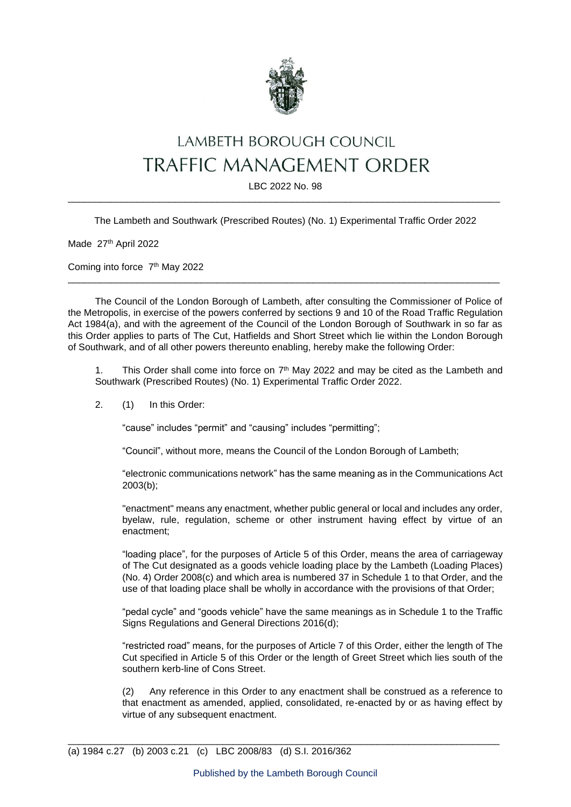

## LAMBETH BOROUGH COUNCIL TRAFFIC MANAGEMENT ORDER

LBC 2022 No. 98 \_\_\_\_\_\_\_\_\_\_\_\_\_\_\_\_\_\_\_\_\_\_\_\_\_\_\_\_\_\_\_\_\_\_\_\_\_\_\_\_\_\_\_\_\_\_\_\_\_\_\_\_\_\_\_\_\_\_\_\_\_\_\_\_\_\_\_\_\_\_\_\_\_\_\_\_\_\_\_\_\_

The Lambeth and Southwark (Prescribed Routes) (No. 1) Experimental Traffic Order 2022

Made 27th April 2022

Coming into force 7<sup>th</sup> May 2022

The Council of the London Borough of Lambeth, after consulting the Commissioner of Police of the Metropolis, in exercise of the powers conferred by sections 9 and 10 of the Road Traffic Regulation Act 1984(a), and with the agreement of the Council of the London Borough of Southwark in so far as this Order applies to parts of The Cut, Hatfields and Short Street which lie within the London Borough of Southwark, and of all other powers thereunto enabling, hereby make the following Order:

\_\_\_\_\_\_\_\_\_\_\_\_\_\_\_\_\_\_\_\_\_\_\_\_\_\_\_\_\_\_\_\_\_\_\_\_\_\_\_\_\_\_\_\_\_\_\_\_\_\_\_\_\_\_\_\_\_\_\_\_\_\_\_\_\_\_\_\_\_\_\_\_\_\_\_\_\_\_\_\_\_

1. This Order shall come into force on  $7<sup>th</sup>$  May 2022 and may be cited as the Lambeth and Southwark (Prescribed Routes) (No. 1) Experimental Traffic Order 2022.

2. (1) In this Order:

"cause" includes "permit" and "causing" includes "permitting";

"Council", without more, means the Council of the London Borough of Lambeth;

"electronic communications network" has the same meaning as in the Communications Act 2003(b);

"enactment" means any enactment, whether public general or local and includes any order, byelaw, rule, regulation, scheme or other instrument having effect by virtue of an enactment;

"loading place", for the purposes of Article 5 of this Order, means the area of carriageway of The Cut designated as a goods vehicle loading place by the Lambeth (Loading Places) (No. 4) Order 2008(c) and which area is numbered 37 in Schedule 1 to that Order, and the use of that loading place shall be wholly in accordance with the provisions of that Order;

"pedal cycle" and "goods vehicle" have the same meanings as in Schedule 1 to the Traffic Signs Regulations and General Directions 2016(d);

"restricted road" means, for the purposes of Article 7 of this Order, either the length of The Cut specified in Article 5 of this Order or the length of Greet Street which lies south of the southern kerb-line of Cons Street.

(2) Any reference in this Order to any enactment shall be construed as a reference to that enactment as amended, applied, consolidated, re-enacted by or as having effect by virtue of any subsequent enactment.

\_\_\_\_\_\_\_\_\_\_\_\_\_\_\_\_\_\_\_\_\_\_\_\_\_\_\_\_\_\_\_\_\_\_\_\_\_\_\_\_\_\_\_\_\_\_\_\_\_\_\_\_\_\_\_\_\_\_\_\_\_\_\_\_\_\_\_\_\_\_\_\_\_\_\_\_\_\_\_\_\_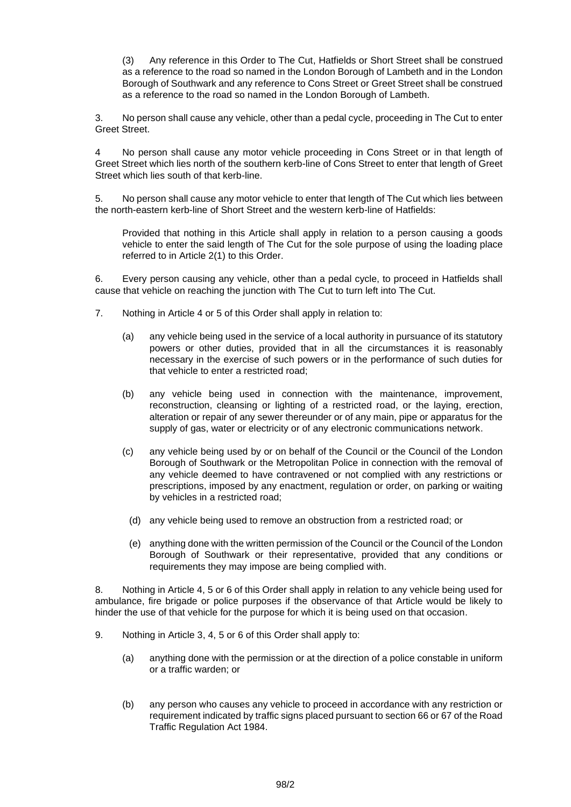(3) Any reference in this Order to The Cut, Hatfields or Short Street shall be construed as a reference to the road so named in the London Borough of Lambeth and in the London Borough of Southwark and any reference to Cons Street or Greet Street shall be construed as a reference to the road so named in the London Borough of Lambeth.

3. No person shall cause any vehicle, other than a pedal cycle, proceeding in The Cut to enter Greet Street.

4 No person shall cause any motor vehicle proceeding in Cons Street or in that length of Greet Street which lies north of the southern kerb-line of Cons Street to enter that length of Greet Street which lies south of that kerb-line.

5. No person shall cause any motor vehicle to enter that length of The Cut which lies between the north-eastern kerb-line of Short Street and the western kerb-line of Hatfields:

Provided that nothing in this Article shall apply in relation to a person causing a goods vehicle to enter the said length of The Cut for the sole purpose of using the loading place referred to in Article 2(1) to this Order.

6. Every person causing any vehicle, other than a pedal cycle, to proceed in Hatfields shall cause that vehicle on reaching the junction with The Cut to turn left into The Cut.

- 7. Nothing in Article 4 or 5 of this Order shall apply in relation to:
	- (a) any vehicle being used in the service of a local authority in pursuance of its statutory powers or other duties, provided that in all the circumstances it is reasonably necessary in the exercise of such powers or in the performance of such duties for that vehicle to enter a restricted road;
	- (b) any vehicle being used in connection with the maintenance, improvement, reconstruction, cleansing or lighting of a restricted road, or the laying, erection, alteration or repair of any sewer thereunder or of any main, pipe or apparatus for the supply of gas, water or electricity or of any electronic communications network.
	- (c) any vehicle being used by or on behalf of the Council or the Council of the London Borough of Southwark or the Metropolitan Police in connection with the removal of any vehicle deemed to have contravened or not complied with any restrictions or prescriptions, imposed by any enactment, regulation or order, on parking or waiting by vehicles in a restricted road;
		- (d) any vehicle being used to remove an obstruction from a restricted road; or
		- (e) anything done with the written permission of the Council or the Council of the London Borough of Southwark or their representative, provided that any conditions or requirements they may impose are being complied with.

8. Nothing in Article 4, 5 or 6 of this Order shall apply in relation to any vehicle being used for ambulance, fire brigade or police purposes if the observance of that Article would be likely to hinder the use of that vehicle for the purpose for which it is being used on that occasion.

- 9. Nothing in Article 3, 4, 5 or 6 of this Order shall apply to:
	- (a) anything done with the permission or at the direction of a police constable in uniform or a traffic warden; or
	- (b) any person who causes any vehicle to proceed in accordance with any restriction or requirement indicated by traffic signs placed pursuant to section 66 or 67 of the Road Traffic Regulation Act 1984.